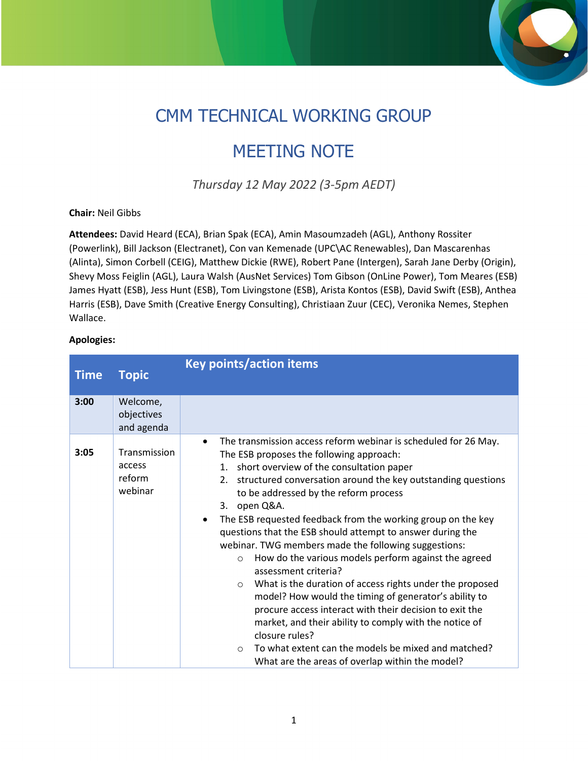## CMM TECHNICAL WORKING GROUP

## MEETING NOTE

*Thursday 12 May 2022 (3-5pm AEDT)*

## **Chair:** Neil Gibbs

**Attendees:** David Heard (ECA), Brian Spak (ECA), Amin Masoumzadeh (AGL), Anthony Rossiter (Powerlink), Bill Jackson (Electranet), Con van Kemenade (UPC\AC Renewables), Dan Mascarenhas (Alinta), Simon Corbell (CEIG), Matthew Dickie (RWE), Robert Pane (Intergen), Sarah Jane Derby (Origin), Shevy Moss Feiglin (AGL), Laura Walsh (AusNet Services) Tom Gibson (OnLine Power), Tom Meares (ESB) James Hyatt (ESB), Jess Hunt (ESB), Tom Livingstone (ESB), Arista Kontos (ESB), David Swift (ESB), Anthea Harris (ESB), Dave Smith (Creative Energy Consulting), Christiaan Zuur (CEC), Veronika Nemes, Stephen Wallace.

## **Apologies:**

| <b>Time</b> | <b>Topic</b>                                | <b>Key points/action items</b>                                                                                                                                                                                                                                                                                                                                                                                                                                                                                                                                                                                                                                                                                                                                                                                                                                                                                                                                                                |  |  |  |  |  |
|-------------|---------------------------------------------|-----------------------------------------------------------------------------------------------------------------------------------------------------------------------------------------------------------------------------------------------------------------------------------------------------------------------------------------------------------------------------------------------------------------------------------------------------------------------------------------------------------------------------------------------------------------------------------------------------------------------------------------------------------------------------------------------------------------------------------------------------------------------------------------------------------------------------------------------------------------------------------------------------------------------------------------------------------------------------------------------|--|--|--|--|--|
|             |                                             |                                                                                                                                                                                                                                                                                                                                                                                                                                                                                                                                                                                                                                                                                                                                                                                                                                                                                                                                                                                               |  |  |  |  |  |
| 3:00        | Welcome,<br>objectives<br>and agenda        |                                                                                                                                                                                                                                                                                                                                                                                                                                                                                                                                                                                                                                                                                                                                                                                                                                                                                                                                                                                               |  |  |  |  |  |
| 3:05        | Transmission<br>access<br>reform<br>webinar | The transmission access reform webinar is scheduled for 26 May.<br>$\bullet$<br>The ESB proposes the following approach:<br>1. short overview of the consultation paper<br>2. structured conversation around the key outstanding questions<br>to be addressed by the reform process<br>3. open Q&A.<br>The ESB requested feedback from the working group on the key<br>$\bullet$<br>questions that the ESB should attempt to answer during the<br>webinar. TWG members made the following suggestions:<br>How do the various models perform against the agreed<br>$\circ$<br>assessment criteria?<br>What is the duration of access rights under the proposed<br>$\circ$<br>model? How would the timing of generator's ability to<br>procure access interact with their decision to exit the<br>market, and their ability to comply with the notice of<br>closure rules?<br>To what extent can the models be mixed and matched?<br>$\circ$<br>What are the areas of overlap within the model? |  |  |  |  |  |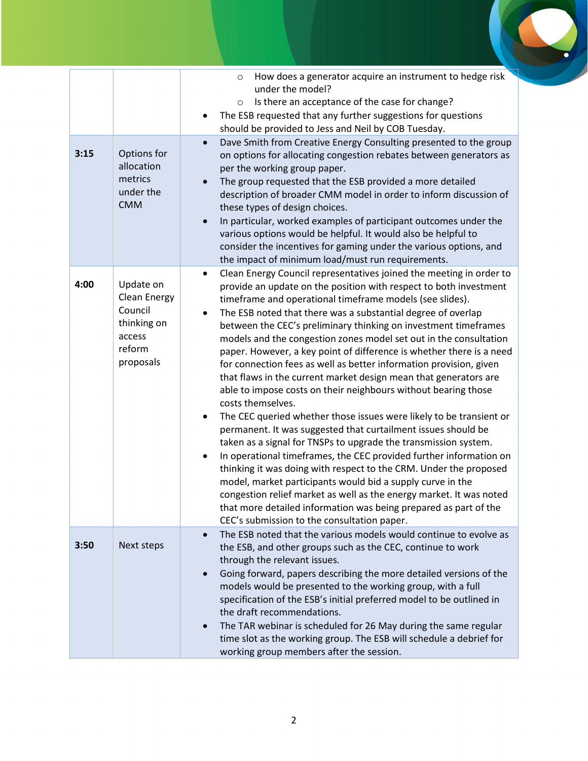| 3:15 | Options for<br>allocation<br>metrics<br>under the<br><b>CMM</b>                             | How does a generator acquire an instrument to hedge risk<br>$\circ$<br>under the model?<br>Is there an acceptance of the case for change?<br>$\circ$<br>The ESB requested that any further suggestions for questions<br>$\bullet$<br>should be provided to Jess and Neil by COB Tuesday.<br>Dave Smith from Creative Energy Consulting presented to the group<br>$\bullet$<br>on options for allocating congestion rebates between generators as<br>per the working group paper.<br>The group requested that the ESB provided a more detailed<br>$\bullet$<br>description of broader CMM model in order to inform discussion of<br>these types of design choices.<br>In particular, worked examples of participant outcomes under the<br>$\bullet$<br>various options would be helpful. It would also be helpful to<br>consider the incentives for gaming under the various options, and<br>the impact of minimum load/must run requirements.                                                                                                                                                                                                                                                                                                                                                                                                                                           |
|------|---------------------------------------------------------------------------------------------|-----------------------------------------------------------------------------------------------------------------------------------------------------------------------------------------------------------------------------------------------------------------------------------------------------------------------------------------------------------------------------------------------------------------------------------------------------------------------------------------------------------------------------------------------------------------------------------------------------------------------------------------------------------------------------------------------------------------------------------------------------------------------------------------------------------------------------------------------------------------------------------------------------------------------------------------------------------------------------------------------------------------------------------------------------------------------------------------------------------------------------------------------------------------------------------------------------------------------------------------------------------------------------------------------------------------------------------------------------------------------------------------|
| 4:00 | Update on<br><b>Clean Energy</b><br>Council<br>thinking on<br>access<br>reform<br>proposals | Clean Energy Council representatives joined the meeting in order to<br>$\bullet$<br>provide an update on the position with respect to both investment<br>timeframe and operational timeframe models (see slides).<br>The ESB noted that there was a substantial degree of overlap<br>$\bullet$<br>between the CEC's preliminary thinking on investment timeframes<br>models and the congestion zones model set out in the consultation<br>paper. However, a key point of difference is whether there is a need<br>for connection fees as well as better information provision, given<br>that flaws in the current market design mean that generators are<br>able to impose costs on their neighbours without bearing those<br>costs themselves.<br>The CEC queried whether those issues were likely to be transient or<br>$\bullet$<br>permanent. It was suggested that curtailment issues should be<br>taken as a signal for TNSPs to upgrade the transmission system.<br>In operational timeframes, the CEC provided further information on<br>$\bullet$<br>thinking it was doing with respect to the CRM. Under the proposed<br>model, market participants would bid a supply curve in the<br>congestion relief market as well as the energy market. It was noted<br>that more detailed information was being prepared as part of the<br>CEC's submission to the consultation paper. |
| 3:50 | Next steps                                                                                  | The ESB noted that the various models would continue to evolve as<br>$\bullet$<br>the ESB, and other groups such as the CEC, continue to work<br>through the relevant issues.<br>Going forward, papers describing the more detailed versions of the<br>$\bullet$<br>models would be presented to the working group, with a full<br>specification of the ESB's initial preferred model to be outlined in<br>the draft recommendations.<br>The TAR webinar is scheduled for 26 May during the same regular<br>$\bullet$<br>time slot as the working group. The ESB will schedule a debrief for<br>working group members after the session.                                                                                                                                                                                                                                                                                                                                                                                                                                                                                                                                                                                                                                                                                                                                                |